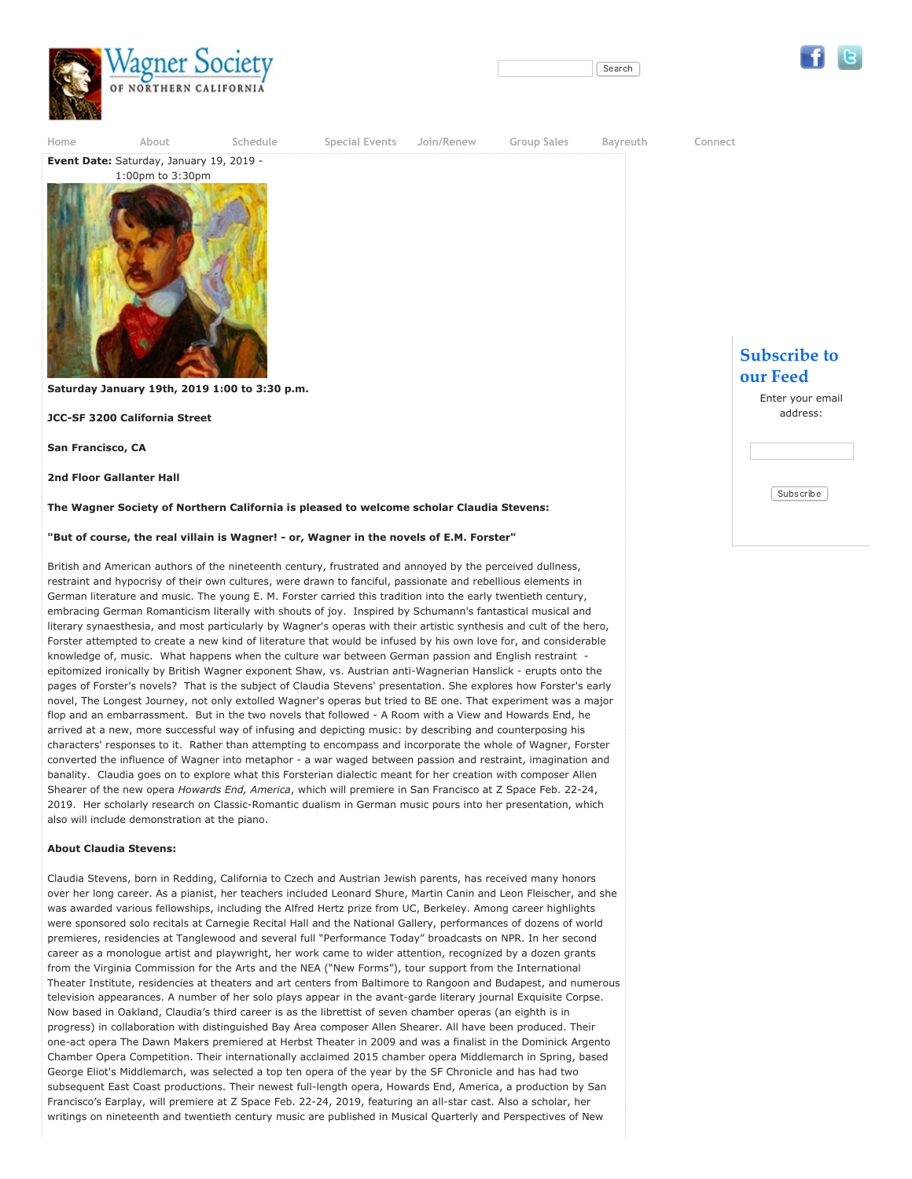





**[Home](https://www.wagnersf.org/) [About](https://www.wagnersf.org/content/about) [Schedule](https://www.wagnersf.org/event) [Special Events](https://www.wagnersf.org/content/special-events) [Join/Renew](https://www.wagnersf.org/content/join) [Group Sales](https://www.wagnersf.org/content/group-sales) [Bayreuth](https://www.wagnersf.org/content/bayreuth) [Connect](https://www.wagnersf.org/contact)**

**San Francisco, CA**

**2nd Floor Gallanter Hall**

**The Wagner Society of Northern California is pleased to welcome scholar Claudia Stevens:**

"But of course, the real villain is Wagner! - or, Wagner in the novels of E.M. Forster"

British and American authors of the nineteenth century, frustrated and annoyed by the perceived dullness, restraint and hypocrisy of their own cultures, were drawn to fanciful, passionate and rebellious elements in German literature and music. The young E. M. Forster carried this tradition into the early twentieth century, embracing German Romanticism literally with shouts of joy. Inspired by Schumann's fantastical musical and literary synaesthesia, and most particularly by Wagner's operas with their artistic synthesis and cult of the hero, Forster attempted to create a new kind of literature that would be infused by his own love for, and considerable knowledge of, music. What happens when the culture war between German passion and English restraint . epitomized ironically by British Wagner exponent Shaw, vs. Austrian anti-Wagnerian Hanslick - erupts onto the pages of Forster's novels? That is the subject of Claudia Stevens' presentation. She explores how Forster's early novel, The Longest Journey, not only extolled Wagner's operas but tried to BE one. That experiment was a major flop and an embarrassment. But in the two novels that followed - A Room with a View and Howards End, he arrived at a new, more successful way of infusing and depicting music: by describing and counterposing his characters' responses to it. Rather than attempting to encompass and incorporate the whole of Wagner, Forster converted the influence of Wagner into metaphor - a war waged between passion and restraint, imagination and banality. Claudia goes on to explore what this Forsterian dialectic meant for her creation with composer Allen Shearer of the new opera *Howards End, America*, which will premiere in San Francisco at Z Space Feb. 22-24, 2019. Her scholarly research on Classic-Romantic dualism in German music pours into her presentation, which also will include demonstration at the piano.

## **About Claudia Stevens:**

Claudia Stevens, born in Redding, California to Czech and Austrian Jewish parents, has received many honors over her long career. As a pianist, her teachers included Leonard Shure, Martin Canin and Leon Fleischer, and she was awarded various fellowships, including the Alfred Hertz prize from UC, Berkeley. Among career highlights were sponsored solo recitals at Carnegie Recital Hall and the National Gallery, performances of dozens of world premieres, residencies at Tanglewood and several full "Performance Today" broadcasts on NPR. In her second career as a monologue artist and playwright, her work came to wider attention, recognized by a dozen grants from the Virginia Commission for the Arts and the NEA ("New Forms"), tour support from the International Theater Institute, residencies at theaters and art centers from Baltimore to Rangoon and Budapest, and numerous television appearances. A number of her solo plays appear in the avant-garde literary journal Exquisite Corpse. Now based in Oakland, Claudia's third career is as the librettist of seven chamber operas (an eighth is in progress) in collaboration with distinguished Bay Area composer Allen Shearer. All have been produced. Their one-act opera The Dawn Makers premiered at Herbst Theater in 2009 and was a finalist in the Dominick Argento Chamber Opera Competition. Their internationally acclaimed 2015 chamber opera Middlemarch in Spring, based George Eliot's Middlemarch, was selected a top ten opera of the year by the SF Chronicle and has had two subsequent East Coast productions. Their newest full-length opera, Howards End, America, a production by San Francisco's Earplay, will premiere at Z Space Feb. 22-24, 2019, featuring an all-star cast. Also a scholar, her writings on nineteenth and twentieth century music are published in Musical Quarterly and Perspectives of New

## **Subscribe to our Feed**

Enter your email address:

Subscribe